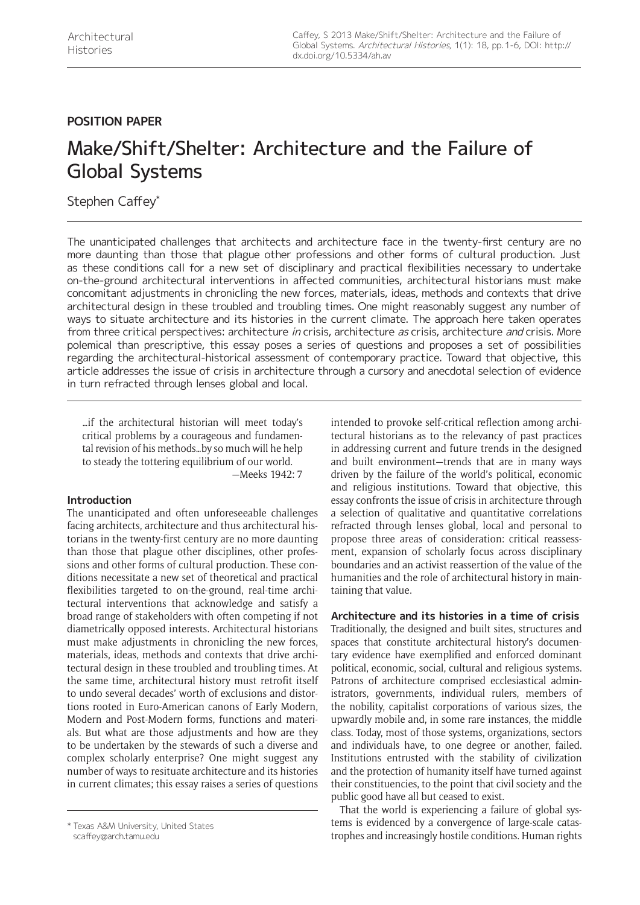# **POSITION PAPER**

# Make/Shift/Shelter: Architecture and the Failure of Global Systems

Stephen Caffey\*

The unanticipated challenges that architects and architecture face in the twenty-first century are no more daunting than those that plague other professions and other forms of cultural production. Just as these conditions call for a new set of disciplinary and practical flexibilities necessary to undertake on-the-ground architectural interventions in affected communities, architectural historians must make concomitant adjustments in chronicling the new forces, materials, ideas, methods and contexts that drive architectural design in these troubled and troubling times. One might reasonably suggest any number of ways to situate architecture and its histories in the current climate. The approach here taken operates from three critical perspectives: architecture in crisis, architecture as crisis, architecture and crisis. More polemical than prescriptive, this essay poses a series of questions and proposes a set of possibilities regarding the architectural-historical assessment of contemporary practice. Toward that objective, this article addresses the issue of crisis in architecture through a cursory and anecdotal selection of evidence in turn refracted through lenses global and local.

…if the architectural historian will meet today's critical problems by a courageous and fundamental revision of his methods…by so much will he help to steady the tottering equilibrium of our world. —Meeks 1942: 7

# **Introduction**

The unanticipated and often unforeseeable challenges facing architects, architecture and thus architectural historians in the twenty-first century are no more daunting than those that plague other disciplines, other professions and other forms of cultural production. These conditions necessitate a new set of theoretical and practical flexibilities targeted to on-the-ground, real-time architectural interventions that acknowledge and satisfy a broad range of stakeholders with often competing if not diametrically opposed interests. Architectural historians must make adjustments in chronicling the new forces, materials, ideas, methods and contexts that drive architectural design in these troubled and troubling times. At the same time, architectural history must retrofit itself to undo several decades' worth of exclusions and distortions rooted in Euro-American canons of Early Modern, Modern and Post-Modern forms, functions and materials. But what are those adjustments and how are they to be undertaken by the stewards of such a diverse and complex scholarly enterprise? One might suggest any number of ways to resituate architecture and its histories in current climates; this essay raises a series of questions

[scaffey@arch.tamu.edu](mailto:scaffey@arch.tamu.edu)

intended to provoke self-critical reflection among architectural historians as to the relevancy of past practices in addressing current and future trends in the designed and built environment—trends that are in many ways driven by the failure of the world's political, economic and religious institutions. Toward that objective, this essay confronts the issue of crisis in architecture through a selection of qualitative and quantitative correlations refracted through lenses global, local and personal to propose three areas of consideration: critical reassessment, expansion of scholarly focus across disciplinary boundaries and an activist reassertion of the value of the humanities and the role of architectural history in maintaining that value.

# **Architecture and its histories in a time of crisis**

Traditionally, the designed and built sites, structures and spaces that constitute architectural history's documentary evidence have exemplified and enforced dominant political, economic, social, cultural and religious systems. Patrons of architecture comprised ecclesiastical administrators, governments, individual rulers, members of the nobility, capitalist corporations of various sizes, the upwardly mobile and, in some rare instances, the middle class. Today, most of those systems, organizations, sectors and individuals have, to one degree or another, failed. Institutions entrusted with the stability of civilization and the protection of humanity itself have turned against their constituencies, to the point that civil society and the public good have all but ceased to exist.

That the world is experiencing a failure of global systems is evidenced by a convergence of large-scale catastrophes and increasingly hostile conditions. Human rights \* Texas A&M University, United States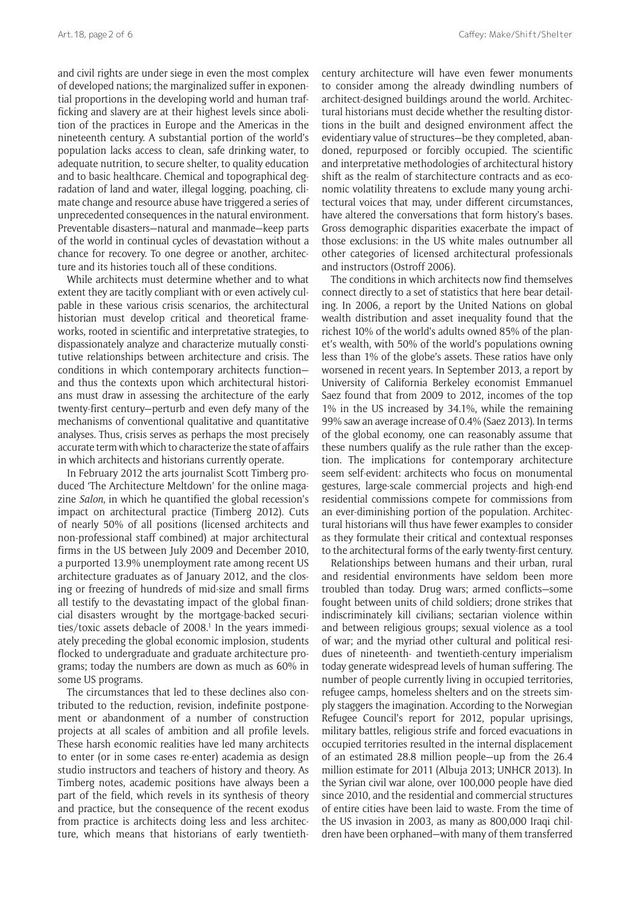and civil rights are under siege in even the most complex of developed nations; the marginalized suffer in exponential proportions in the developing world and human trafficking and slavery are at their highest levels since abolition of the practices in Europe and the Americas in the nineteenth century. A substantial portion of the world's population lacks access to clean, safe drinking water, to adequate nutrition, to secure shelter, to quality education and to basic healthcare. Chemical and topographical degradation of land and water, illegal logging, poaching, climate change and resource abuse have triggered a series of unprecedented consequences in the natural environment. Preventable disasters—natural and manmade—keep parts of the world in continual cycles of devastation without a chance for recovery. To one degree or another, architecture and its histories touch all of these conditions.

While architects must determine whether and to what extent they are tacitly compliant with or even actively culpable in these various crisis scenarios, the architectural historian must develop critical and theoretical frameworks, rooted in scientific and interpretative strategies, to dispassionately analyze and characterize mutually constitutive relationships between architecture and crisis. The conditions in which contemporary architects function and thus the contexts upon which architectural historians must draw in assessing the architecture of the early twenty-first century—perturb and even defy many of the mechanisms of conventional qualitative and quantitative analyses. Thus, crisis serves as perhaps the most precisely accurate term with which to characterize the state of affairs in which architects and historians currently operate.

In February 2012 the arts journalist Scott Timberg produced 'The Architecture Meltdown' for the online magazine *Salon*, in which he quantified the global recession's impact on architectural practice (Timberg 2012). Cuts of nearly 50% of all positions (licensed architects and non-professional staff combined) at major architectural firms in the US between July 2009 and December 2010, a purported 13.9% unemployment rate among recent US architecture graduates as of January 2012, and the closing or freezing of hundreds of mid-size and small firms all testify to the devastating impact of the global financial disasters wrought by the mortgage-backed securities/toxic assets debacle of 2008.<sup>1</sup> In the years immediately preceding the global economic implosion, students flocked to undergraduate and graduate architecture programs; today the numbers are down as much as 60% in some US programs.

The circumstances that led to these declines also contributed to the reduction, revision, indefinite postponement or abandonment of a number of construction projects at all scales of ambition and all profile levels. These harsh economic realities have led many architects to enter (or in some cases re-enter) academia as design studio instructors and teachers of history and theory. As Timberg notes, academic positions have always been a part of the field, which revels in its synthesis of theory and practice, but the consequence of the recent exodus from practice is architects doing less and less architecture, which means that historians of early twentiethcentury architecture will have even fewer monuments to consider among the already dwindling numbers of architect-designed buildings around the world. Architectural historians must decide whether the resulting distortions in the built and designed environment affect the evidentiary value of structures—be they completed, abandoned, repurposed or forcibly occupied. The scientific and interpretative methodologies of architectural history shift as the realm of starchitecture contracts and as economic volatility threatens to exclude many young architectural voices that may, under different circumstances, have altered the conversations that form history's bases. Gross demographic disparities exacerbate the impact of those exclusions: in the US white males outnumber all other categories of licensed architectural professionals and instructors (Ostroff 2006).

The conditions in which architects now find themselves connect directly to a set of statistics that here bear detailing. In 2006, a report by the United Nations on global wealth distribution and asset inequality found that the richest 10% of the world's adults owned 85% of the planet's wealth, with 50% of the world's populations owning less than 1% of the globe's assets. These ratios have only worsened in recent years. In September 2013, a report by University of California Berkeley economist Emmanuel Saez found that from 2009 to 2012, incomes of the top 1% in the US increased by 34.1%, while the remaining 99% saw an average increase of 0.4% (Saez 2013). In terms of the global economy, one can reasonably assume that these numbers qualify as the rule rather than the exception. The implications for contemporary architecture seem self-evident: architects who focus on monumental gestures, large-scale commercial projects and high-end residential commissions compete for commissions from an ever-diminishing portion of the population. Architectural historians will thus have fewer examples to consider as they formulate their critical and contextual responses to the architectural forms of the early twenty-first century.

Relationships between humans and their urban, rural and residential environments have seldom been more troubled than today. Drug wars; armed conflicts—some fought between units of child soldiers; drone strikes that indiscriminately kill civilians; sectarian violence within and between religious groups; sexual violence as a tool of war; and the myriad other cultural and political residues of nineteenth- and twentieth-century imperialism today generate widespread levels of human suffering. The number of people currently living in occupied territories, refugee camps, homeless shelters and on the streets simply staggers the imagination. According to the Norwegian Refugee Council's report for 2012, popular uprisings, military battles, religious strife and forced evacuations in occupied territories resulted in the internal displacement of an estimated 28.8 million people—up from the 26.4 million estimate for 2011 (Albuja 2013; UNHCR 2013). In the Syrian civil war alone, over 100,000 people have died since 2010, and the residential and commercial structures of entire cities have been laid to waste. From the time of the US invasion in 2003, as many as 800,000 Iraqi children have been orphaned—with many of them transferred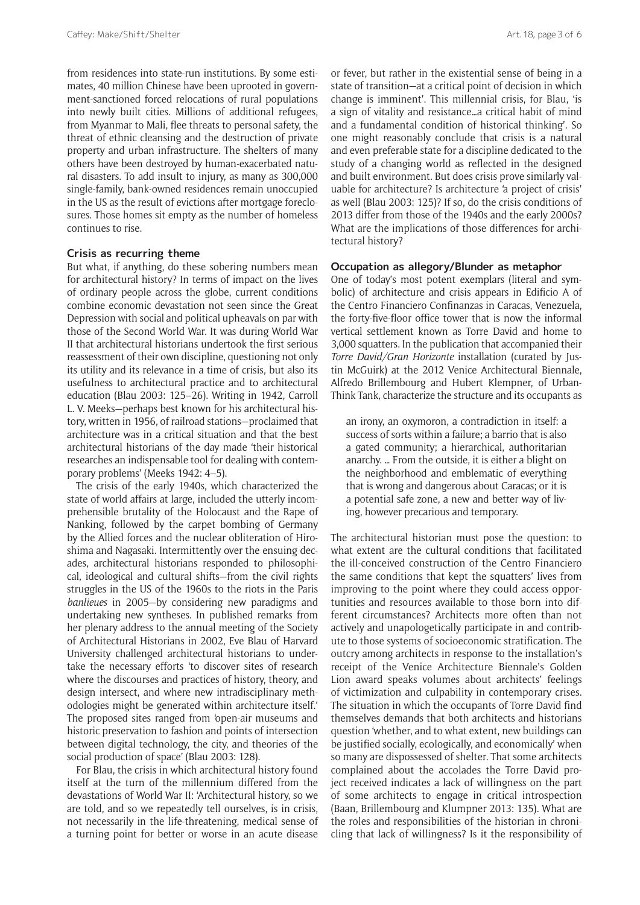from residences into state-run institutions. By some estimates, 40 million Chinese have been uprooted in government-sanctioned forced relocations of rural populations into newly built cities. Millions of additional refugees, from Myanmar to Mali, flee threats to personal safety, the threat of ethnic cleansing and the destruction of private property and urban infrastructure. The shelters of many others have been destroyed by human-exacerbated natural disasters. To add insult to injury, as many as 300,000 single-family, bank-owned residences remain unoccupied in the US as the result of evictions after mortgage foreclosures. Those homes sit empty as the number of homeless continues to rise.

## **Crisis as recurring theme**

But what, if anything, do these sobering numbers mean for architectural history? In terms of impact on the lives of ordinary people across the globe, current conditions combine economic devastation not seen since the Great Depression with social and political upheavals on par with those of the Second World War. It was during World War II that architectural historians undertook the first serious reassessment of their own discipline, questioning not only its utility and its relevance in a time of crisis, but also its usefulness to architectural practice and to architectural education (Blau 2003: 125–26). Writing in 1942, Carroll L. V. Meeks—perhaps best known for his architectural history, written in 1956, of railroad stations—proclaimed that architecture was in a critical situation and that the best architectural historians of the day made 'their historical researches an indispensable tool for dealing with contemporary problems' (Meeks 1942: 4–5).

The crisis of the early 1940s, which characterized the state of world affairs at large, included the utterly incomprehensible brutality of the Holocaust and the Rape of Nanking, followed by the carpet bombing of Germany by the Allied forces and the nuclear obliteration of Hiroshima and Nagasaki. Intermittently over the ensuing decades, architectural historians responded to philosophical, ideological and cultural shifts—from the civil rights struggles in the US of the 1960s to the riots in the Paris *banlieues* in 2005—by considering new paradigms and undertaking new syntheses. In published remarks from her plenary address to the annual meeting of the Society of Architectural Historians in 2002, Eve Blau of Harvard University challenged architectural historians to undertake the necessary efforts 'to discover sites of research where the discourses and practices of history, theory, and design intersect, and where new intradisciplinary methodologies might be generated within architecture itself.' The proposed sites ranged from 'open-air museums and historic preservation to fashion and points of intersection between digital technology, the city, and theories of the social production of space' (Blau 2003: 128).

For Blau, the crisis in which architectural history found itself at the turn of the millennium differed from the devastations of World War II: 'Architectural history, so we are told, and so we repeatedly tell ourselves, is in crisis, not necessarily in the life-threatening, medical sense of a turning point for better or worse in an acute disease

or fever, but rather in the existential sense of being in a state of transition—at a critical point of decision in which change is imminent'. This millennial crisis, for Blau, 'is a sign of vitality and resistance…a critical habit of mind and a fundamental condition of historical thinking'. So one might reasonably conclude that crisis is a natural and even preferable state for a discipline dedicated to the study of a changing world as reflected in the designed and built environment. But does crisis prove similarly valuable for architecture? Is architecture 'a project of crisis' as well (Blau 2003: 125)? If so, do the crisis conditions of 2013 differ from those of the 1940s and the early 2000s? What are the implications of those differences for architectural history?

#### **Occupation as allegory/Blunder as metaphor**

One of today's most potent exemplars (literal and symbolic) of architecture and crisis appears in Edificio A of the Centro Financiero Confinanzas in Caracas, Venezuela, the forty-five-floor office tower that is now the informal vertical settlement known as Torre David and home to 3,000 squatters. In the publication that accompanied their *Torre David/Gran Horizonte* installation (curated by Justin McGuirk) at the 2012 Venice Architectural Biennale, Alfredo Brillembourg and Hubert Klempner, of Urban-Think Tank, characterize the structure and its occupants as

an irony, an oxymoron, a contradiction in itself: a success of sorts within a failure; a barrio that is also a gated community; a hierarchical, authoritarian anarchy. … From the outside, it is either a blight on the neighborhood and emblematic of everything that is wrong and dangerous about Caracas; or it is a potential safe zone, a new and better way of living, however precarious and temporary.

The architectural historian must pose the question: to what extent are the cultural conditions that facilitated the ill-conceived construction of the Centro Financiero the same conditions that kept the squatters' lives from improving to the point where they could access opportunities and resources available to those born into different circumstances? Architects more often than not actively and unapologetically participate in and contribute to those systems of socioeconomic stratification. The outcry among architects in response to the installation's receipt of the Venice Architecture Biennale's Golden Lion award speaks volumes about architects' feelings of victimization and culpability in contemporary crises. The situation in which the occupants of Torre David find themselves demands that both architects and historians question 'whether, and to what extent, new buildings can be justified socially, ecologically, and economically' when so many are dispossessed of shelter. That some architects complained about the accolades the Torre David project received indicates a lack of willingness on the part of some architects to engage in critical introspection (Baan, Brillembourg and Klumpner 2013: 135). What are the roles and responsibilities of the historian in chronicling that lack of willingness? Is it the responsibility of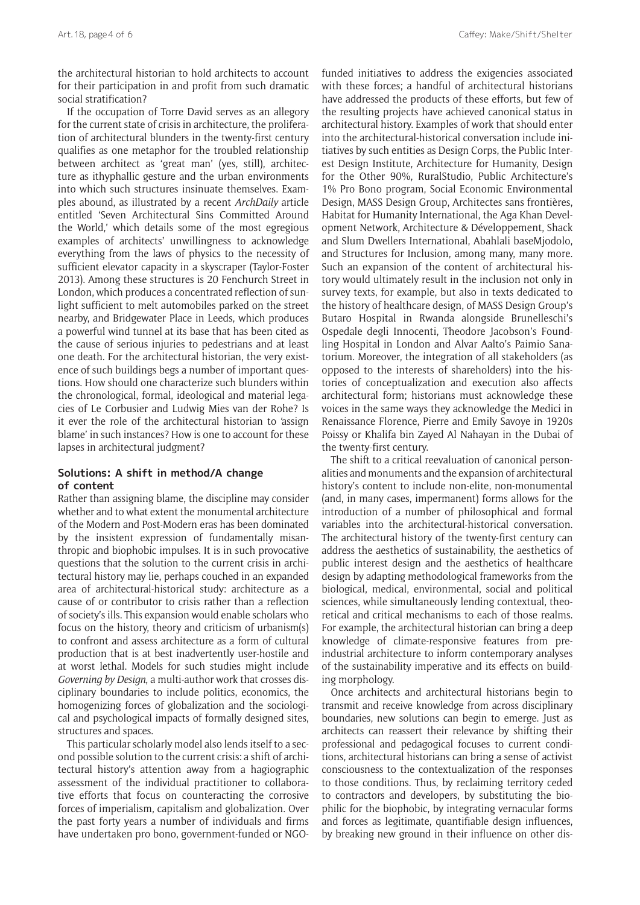the architectural historian to hold architects to account for their participation in and profit from such dramatic social stratification?

If the occupation of Torre David serves as an allegory for the current state of crisis in architecture, the proliferation of architectural blunders in the twenty-first century qualifies as one metaphor for the troubled relationship between architect as 'great man' (yes, still), architecture as ithyphallic gesture and the urban environments into which such structures insinuate themselves. Examples abound, as illustrated by a recent *ArchDaily* article entitled 'Seven Architectural Sins Committed Around the World,' which details some of the most egregious examples of architects' unwillingness to acknowledge everything from the laws of physics to the necessity of sufficient elevator capacity in a skyscraper (Taylor-Foster 2013). Among these structures is 20 Fenchurch Street in London, which produces a concentrated reflection of sunlight sufficient to melt automobiles parked on the street nearby, and Bridgewater Place in Leeds, which produces a powerful wind tunnel at its base that has been cited as the cause of serious injuries to pedestrians and at least one death. For the architectural historian, the very existence of such buildings begs a number of important questions. How should one characterize such blunders within the chronological, formal, ideological and material legacies of Le Corbusier and Ludwig Mies van der Rohe? Is it ever the role of the architectural historian to 'assign blame' in such instances? How is one to account for these lapses in architectural judgment?

### **Solutions: A shift in method/A change of content**

Rather than assigning blame, the discipline may consider whether and to what extent the monumental architecture of the Modern and Post-Modern eras has been dominated by the insistent expression of fundamentally misanthropic and biophobic impulses. It is in such provocative questions that the solution to the current crisis in architectural history may lie, perhaps couched in an expanded area of architectural-historical study: architecture as a cause of or contributor to crisis rather than a reflection of society's ills. This expansion would enable scholars who focus on the history, theory and criticism of urbanism(s) to confront and assess architecture as a form of cultural production that is at best inadvertently user-hostile and at worst lethal. Models for such studies might include *Governing by Design*, a multi-author work that crosses disciplinary boundaries to include politics, economics, the homogenizing forces of globalization and the sociological and psychological impacts of formally designed sites, structures and spaces.

This particular scholarly model also lends itself to a second possible solution to the current crisis: a shift of architectural history's attention away from a hagiographic assessment of the individual practitioner to collaborative efforts that focus on counteracting the corrosive forces of imperialism, capitalism and globalization. Over the past forty years a number of individuals and firms have undertaken pro bono, government-funded or NGO-

funded initiatives to address the exigencies associated with these forces; a handful of architectural historians have addressed the products of these efforts, but few of the resulting projects have achieved canonical status in architectural history. Examples of work that should enter into the architectural-historical conversation include initiatives by such entities as Design Corps, the Public Interest Design Institute, Architecture for Humanity, Design for the Other 90%, RuralStudio, Public Architecture's 1% Pro Bono program, Social Economic Environmental Design, MASS Design Group, Architectes sans frontières, Habitat for Humanity International, the Aga Khan Development Network, Architecture & Développement, Shack and Slum Dwellers International, Abahlali baseMjodolo, and Structures for Inclusion, among many, many more. Such an expansion of the content of architectural history would ultimately result in the inclusion not only in survey texts, for example, but also in texts dedicated to the history of healthcare design, of MASS Design Group's Butaro Hospital in Rwanda alongside Brunelleschi's Ospedale degli Innocenti, Theodore Jacobson's Foundling Hospital in London and Alvar Aalto's Paimio Sanatorium. Moreover, the integration of all stakeholders (as opposed to the interests of shareholders) into the histories of conceptualization and execution also affects architectural form; historians must acknowledge these voices in the same ways they acknowledge the Medici in Renaissance Florence, Pierre and Emily Savoye in 1920s Poissy or Khalifa bin Zayed Al Nahayan in the Dubai of the twenty-first century.

The shift to a critical reevaluation of canonical personalities and monuments and the expansion of architectural history's content to include non-elite, non-monumental (and, in many cases, impermanent) forms allows for the introduction of a number of philosophical and formal variables into the architectural-historical conversation. The architectural history of the twenty-first century can address the aesthetics of sustainability, the aesthetics of public interest design and the aesthetics of healthcare design by adapting methodological frameworks from the biological, medical, environmental, social and political sciences, while simultaneously lending contextual, theoretical and critical mechanisms to each of those realms. For example, the architectural historian can bring a deep knowledge of climate-responsive features from preindustrial architecture to inform contemporary analyses of the sustainability imperative and its effects on building morphology.

Once architects and architectural historians begin to transmit and receive knowledge from across disciplinary boundaries, new solutions can begin to emerge. Just as architects can reassert their relevance by shifting their professional and pedagogical focuses to current conditions, architectural historians can bring a sense of activist consciousness to the contextualization of the responses to those conditions. Thus, by reclaiming territory ceded to contractors and developers, by substituting the biophilic for the biophobic, by integrating vernacular forms and forces as legitimate, quantifiable design influences, by breaking new ground in their influence on other dis-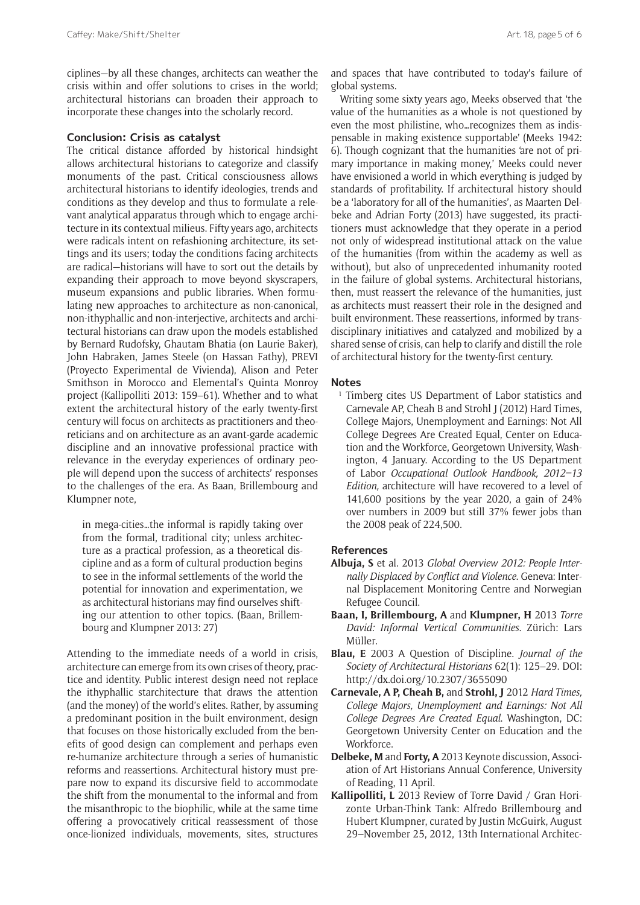#### **Conclusion: Crisis as catalyst**

The critical distance afforded by historical hindsight allows architectural historians to categorize and classify monuments of the past. Critical consciousness allows architectural historians to identify ideologies, trends and conditions as they develop and thus to formulate a relevant analytical apparatus through which to engage architecture in its contextual milieus. Fifty years ago, architects were radicals intent on refashioning architecture, its settings and its users; today the conditions facing architects are radical—historians will have to sort out the details by expanding their approach to move beyond skyscrapers, museum expansions and public libraries. When formulating new approaches to architecture as non-canonical, non-ithyphallic and non-interjective, architects and architectural historians can draw upon the models established by Bernard Rudofsky, Ghautam Bhatia (on Laurie Baker), John Habraken, James Steele (on Hassan Fathy), PREVI (Proyecto Experimental de Vivienda), Alison and Peter Smithson in Morocco and Elemental's Quinta Monroy project (Kallipolliti 2013: 159–61). Whether and to what extent the architectural history of the early twenty-first century will focus on architects as practitioners and theoreticians and on architecture as an avant-garde academic discipline and an innovative professional practice with relevance in the everyday experiences of ordinary people will depend upon the success of architects' responses to the challenges of the era. As Baan, Brillembourg and Klumpner note,

in mega-cities…the informal is rapidly taking over from the formal, traditional city; unless architecture as a practical profession, as a theoretical discipline and as a form of cultural production begins to see in the informal settlements of the world the potential for innovation and experimentation, we as architectural historians may find ourselves shifting our attention to other topics. (Baan, Brillembourg and Klumpner 2013: 27)

Attending to the immediate needs of a world in crisis, architecture can emerge from its own crises of theory, practice and identity. Public interest design need not replace the ithyphallic starchitecture that draws the attention (and the money) of the world's elites. Rather, by assuming a predominant position in the built environment, design that focuses on those historically excluded from the benefits of good design can complement and perhaps even re-humanize architecture through a series of humanistic reforms and reassertions. Architectural history must prepare now to expand its discursive field to accommodate the shift from the monumental to the informal and from the misanthropic to the biophilic, while at the same time offering a provocatively critical reassessment of those once-lionized individuals, movements, sites, structures

and spaces that have contributed to today's failure of global systems.

Writing some sixty years ago, Meeks observed that 'the value of the humanities as a whole is not questioned by even the most philistine, who…recognizes them as indispensable in making existence supportable' (Meeks 1942: 6). Though cognizant that the humanities 'are not of primary importance in making money,' Meeks could never have envisioned a world in which everything is judged by standards of profitability. If architectural history should be a 'laboratory for all of the humanities', as Maarten Delbeke and Adrian Forty (2013) have suggested, its practitioners must acknowledge that they operate in a period not only of widespread institutional attack on the value of the humanities (from within the academy as well as without), but also of unprecedented inhumanity rooted in the failure of global systems. Architectural historians, then, must reassert the relevance of the humanities, just as architects must reassert their role in the designed and built environment. These reassertions, informed by transdisciplinary initiatives and catalyzed and mobilized by a shared sense of crisis, can help to clarify and distill the role of architectural history for the twenty-first century.

#### **Notes**

<sup>1</sup> Timberg cites US Department of Labor statistics and Carnevale AP, Cheah B and Strohl J (2012) Hard Times, College Majors, Unemployment and Earnings: Not All College Degrees Are Created Equal, Center on Education and the Workforce, Georgetown University, Washington, 4 January. According to the US Department of Labor *Occupational Outlook Handbook, 2012–13 Edition,* architecture will have recovered to a level of 141,600 positions by the year 2020, a gain of 24% over numbers in 2009 but still 37% fewer jobs than the 2008 peak of 224,500.

#### **References**

- **Albuja, S** et al. 2013 *Global Overview 2012: People Internally Displaced by Conflict and Violence*. Geneva: Internal Displacement Monitoring Centre and Norwegian Refugee Council.
- **Baan, I, Brillembourg, A** and **Klumpner, H** 2013 *Torre David: Informal Vertical Communities*. Zürich: Lars Müller.
- **Blau, E** 2003 A Question of Discipline. *Journal of the Society of Architectural Historians* 62(1): 125–29. DOI: <http://dx.doi.org/10.2307/3655090>
- **Carnevale, A P, Cheah B,** and **Strohl, J** 2012 *Hard Times, College Majors, Unemployment and Earnings: Not All College Degrees Are Created Equal*. Washington, DC: Georgetown University Center on Education and the Workforce.
- **Delbeke, M** and **Forty, A** 2013 Keynote discussion, Association of Art Historians Annual Conference, University of Reading, 11 April.
- **Kallipolliti, L** 2013 Review of Torre David / Gran Horizonte Urban-Think Tank: Alfredo Brillembourg and Hubert Klumpner, curated by Justin McGuirk, August 29–November 25, 2012, 13th International Architec-